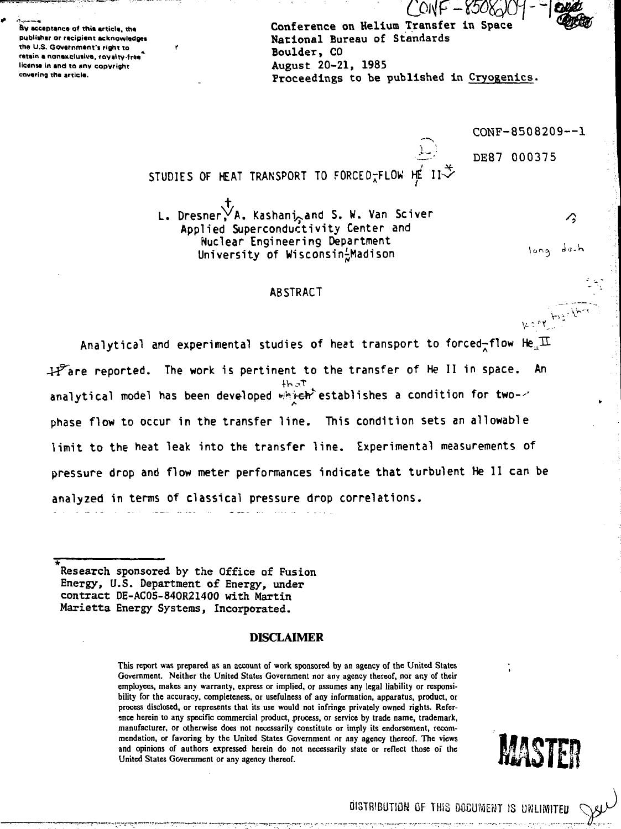**&V acceptance of thit article, th« pubiiiher or recipient acknowladgei** the U.S. Government's right to retain a nonexclusive, rayalty-free **license in and to any copyright covering the article.**

Conference on Helium Transfer in Space National Bureau of Standards Boulder, CO August 20-21, 1985 Proceedings to be published in Cryogenics.

CONF-8508209—1

**d** *0* **- •"»**

long

les et baselle

Α

DE87 000375

STUDIES OF HEAT TRANSPORT TO FORCED $\tau$ FLOW

L. Dresner, A. Kashani<sub>n</sub>and S. W. Van Sciver Applied Superconductivity Center and Nuclear Engineering Department University of Wisconsin-Madison

#### **ABSTRACT**

Analytical and experimental studies of heat transport to forced-flow  $He_{\mu}\overline{11}$  $H<sup>F</sup>$ are reported. The work is pertinent to the transfer of He II in space. An analytical model has been developed which establishes a condition for two-/ phase flow to occur in the transfer line. This condition sets an allowable limit to the heat leak into the transfer line. Experimental measurements of pressure drop and flow meter performances indicate that turbulent He 11 can be analyzed in terms of classical pressure drop correlations.

Research sponsored by the Office of Fusion Energy, U.S. Department of Energy, under contract DE-AC05-84OR21400 with Martin

Marietta Energy Systems, Incorporated.

#### DISCLAIMER

**This report was prepared as an account of work sponsored by an agency of the United States Government. Neither the United States Government nor any agency thereof, nor any of their employees, makes any warranty, express or implied, or assumes any legal liability or responsibility for the accuracy, completeness, or usefulness of any information, apparatus, product, or process disclosed, or represents that its use would not infringe privately owned rights. Refer**ence herein to any specific commercial product, process, or service by trade name, trademark, **manufacturer, or otherwise does not necessarily constitute or imply its endorsement, recommendation, or favoring by the United States Government or any agency thereof. The views and opinions of authors expressed herein do not necessarily state or reflect those oi the United States Government or any agency thereof.**



DISTRIBUTION OF THIS DOCUMENT IS UNLIMITED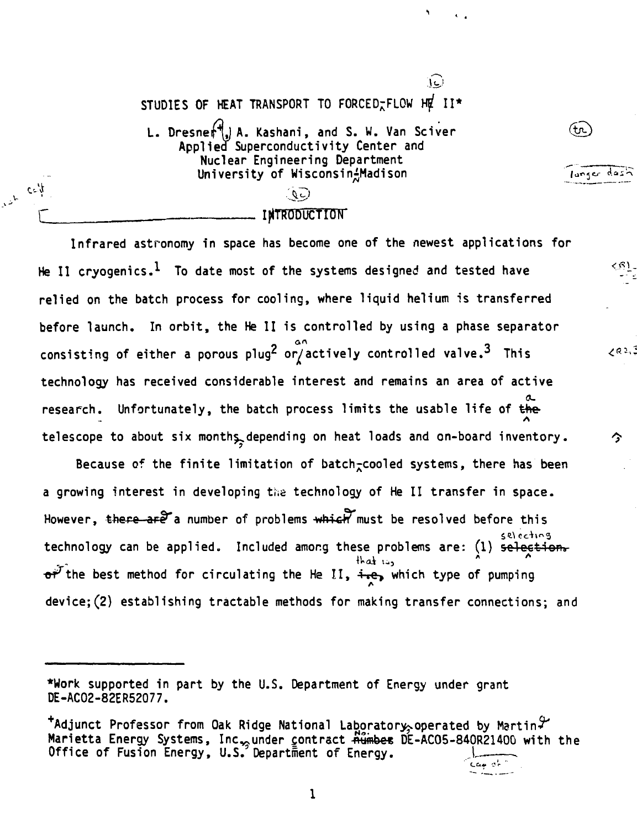STUDIES OF HEAT TRANSPORT TO FORCED-FLOW HE II\* L. Dresnef<sup>4</sup>, A. Kashani, and S. W. Van Sciver Applied Superconductivity Center and Nuclear Engineering Department University of Wisconsin<sup>1</sup>Madison (QC) INTRODUCTION

 $\psi_{\alpha\beta}$ 

 $\ddot{\phantom{1}}$ 

(tr.)

langer dash

آرءا)

Infrared astronomy in space has become one of the newest applications for He II cryogenics. $^1\,$  To date most of the systems designed and tested have <sup>&</sup>lt; ^ relied on the batch process for cooling, where liquid helium is transferred before launch. In orbit, the He II is controlled by using a phase separator consisting of either a porous plug<sup>2</sup> or/actively controlled valve. $^3$  This  $\leq^{\otimes 2, \otimes}$ technology has received considerable interest and remains an area of active research. Unfortunately, the batch process limits the usable life of the **- A** telescope to about six months, depending on heat loads and on-board inventory.  $\hat{\gamma}$ 

Because of the finite limitation of batch<sub> $\tau$ </sub>cooled systems, there has been a growing interest in developing the technology of He II transfer in space. However, there are a number of problems  $\frac{1}{2}$  must be resolved before this technology can be applied. Included among these problems are: (1) selection.  $\sigma^{p^T}$ the best method for circulating the He II,  $\frac{1}{2}$ , which type of pumping device;(2) establishing tractable methods for making transfer connections; and

<sup>\*</sup>Work supported in part by the U.S. Department of Energy under grant DE-AC02-82ER52077.

 $^{\texttt{+}}$ Adjunct Professor from Oak Ridge National Laboratory, operated by Martin $\mathcal {T}$ Marietta Energy Systems, Inc<sub>22</sub> under contract Rumber DE-AC05-840R21400 with the Office of Fusion Energy, U.S. Department of Energy.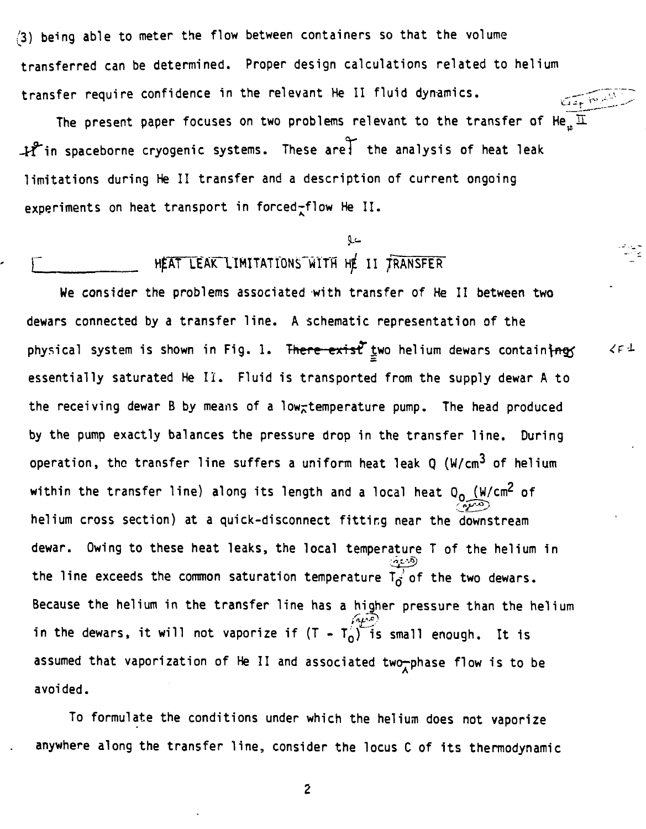/3) being able to meter the flow between containers so that the volume transferred can be determined. Proper design calculations related to helium transfer require confidence in the relevant He II fluid dynamics. سنكفح والموعقة

The present paper focuses on two problems relevant to the transfer of He<sub>.</sub>  $\overline{\text{I}}$ -tf"in spaceborne cryogenic systems. These are! the analysis of heat leak limitations during He II transfer and a description of current ongoing experiments on heat transport in forced-flow He II.

 $25.1$ 

# HEAT LEAK LIMITATIONS WITH HE II TRANSFER

We consider the problems associated with transfer of He II between two dewars connected by a transfer line. A schematic representation of the physical system is shown in Fig. 1. There exist two helium dewars containing essentially saturated He II. Fluid is transported from the supply dewar A to the receiving dewar B by means of a low<sub>r</sub>temperature pump. The head produced by the pump exactly balances the pressure drop in the transfer line. During operation, the transfer line suffers a uniform heat leak  $Q$  (W/cm<sup>3</sup> of helium within the transfer line) along its length and a local heat  $Q_0$  (W/cm<sup>2</sup> of helium cross section) at a quick-disconnect fitting near the downstream dewar. Owing to these heat leaks, the local temperature T of the helium in the line exceeds the common saturation temperature  $T_0^{(1)}$  of the two dewars. Because the helium in the transfer line has a higher pressure than the helium in the dewars, it will not vaporize if  $(T - T_0)^T$  is small enough. It is assumed that vaporization of He II and associated two-phase flow is to be avoided.

To formulate the conditions under which the helium does not vaporize anywhere along the transfer line, consider the locus C of its thermodynamic

2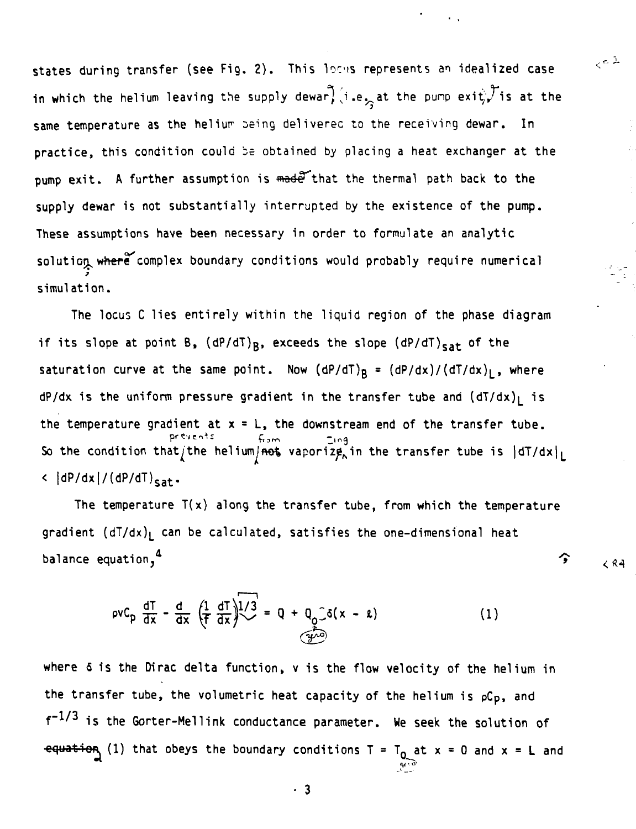**states during transfer (see Fig. 2) . This locis represents an idealized case** in which the helium leaving the supply dewar,  $(i.e<sub>2</sub>$  at the pump exit;, is at the **same temperature as the heliur seing deliverec to the receiving dewar. In practice, this condition could be obtained by placing a heat exchanger at the** pump exit. A further assumption is made that the thermal path back to the **supply dewar is not substantially interrupted by the existence of the pump. These assumptions have been necessary in order to formulate an analytic** solution where complex boundary conditions would probably require numerical **simulation.**

 $\sqrt{6}$  **2** 

**The locus C lies entirely within the liquid region of the phase diagram** if its slope at point B,  $(dP/dT)$ <sub>B</sub>, exceeds the slope  $(dP/dT)_{cat}$  of the saturation curve at the same point. Now  $(dP/dT)$ <sub>B</sub> =  $(dP/dx)/(dT/dx)$ <sub>L</sub>, where dP/dx is the uniform pressure gradient in the transfer tube and  $(dT/dx)<sub>1</sub>$  is **the temperature gradient at x = L, the downstream end of the transfer tube.** So the condition that/the helium/<del>not</del> vaporize<sub>n</sub>in the transfer tube is  $|dT/dx|_L$ **< |dP/dx|/(dP/dT)sat.**

**The temperature T(x) along the transfer tube, from which the temperature gradient (dT/dx)j\_ can be calculated, satisfies the one-dimensional heat balance equation,**<sup>4</sup>  $\left\{\gamma\right\}$   $\left\{\gamma\right\}$   $\left\{\gamma\right\}$ 

$$
\rho v C_p \frac{dT}{dx} - \frac{d}{dx} \left( \frac{1}{f} \frac{dT}{dx} \right) \frac{1}{3} = 0 + 0 \int_{\Omega} \delta(x - \epsilon) \tag{1}
$$

where 6 is the Dirac delta function, v is the flow velocity of the helium in the transfer tube, the volumetric heat capacity of the helium is  $\rho C_p$ , and f~l/ <sup>3</sup> is the Gorter-Mellink conductance parameter. We seek the solution of equation (1) that obeys the boundary conditions  $T = T_0$  at  $x = 0$  and  $x = L$  and

 $\cdot$  3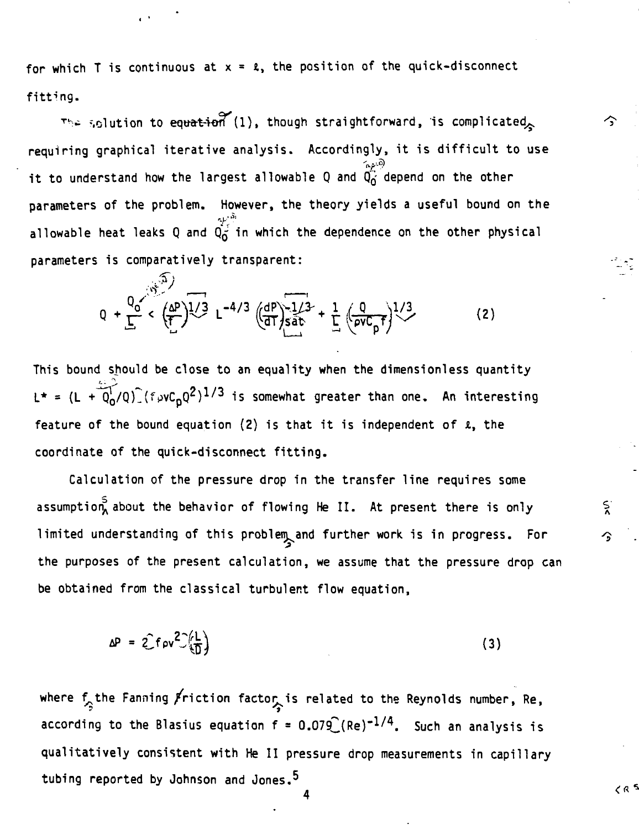for which T is continuous at  $x = 2$ , the position of the quick-disconnect fitting.

The solution to equation (1), though straightforward, is complicated requiring graphical iterative analysis. Accordingly, it is difficult to use it to understand how the largest allowable Q and  $\widetilde{Q}_{\vec{0}}^{\text{exp},\odot}$  depend on the other parameters of the problem. However, the theory yields a useful bound on the allowable heat leaks Q and  $\overline{Q_O^{p^{\text{th}}}}$  in which the dependence on the other physical **parameters is comparatively transparent:**

へ

ج'<br>^

د ۾ ح

$$
Q + \frac{Q_0}{\Gamma} \left( \frac{(\Delta P)^{1/3}}{\Gamma} \right) L^{-4/3} \left( \frac{dP}{dT} \right) \frac{1/3}{\sin \theta} + \frac{1}{\Gamma} \left( \frac{Q}{\rho V C_p f} \right)^{1/3}
$$
 (2)

**This bound should be close to an equality when the dimensionless quantity**  $L^* = (L + 0.0 \cdot 10^2)$  (fpvC<sub>D</sub>Q<sup>2</sup>)<sup>1/3</sup> is somewhat greater than one. An interesting feature of the bound equation (2) is that it is independent of  $\ell$ , the **coordinate of the quick-disconnect fitting.**

**Calculation of the pressure drop in the transfer line requires some assumption^ about the behavior of flowing He II. At present there is only limited understanding of this problem^and further work is in progress. For the purposes of the present calculation, we assume that the pressure drop can be obtained from the classical turbulent flow equation,**

$$
\Delta P = 2 \text{fov}^2 \left( \frac{L}{D} \right) \tag{3}
$$

where  $f^{\text{th}}_{\text{p}}$  the Fanning  $\cancel{F}$ riction factor, is related to the Reynolds number, Re, according to the Blasius equation f = 0.079  $\big($ Re) $^{-1/4}$ . Such an analysis is qualitatively consistent with He II pressure drop measurements in capillary tubing reported by Johnson and Jones.<sup>5</sup>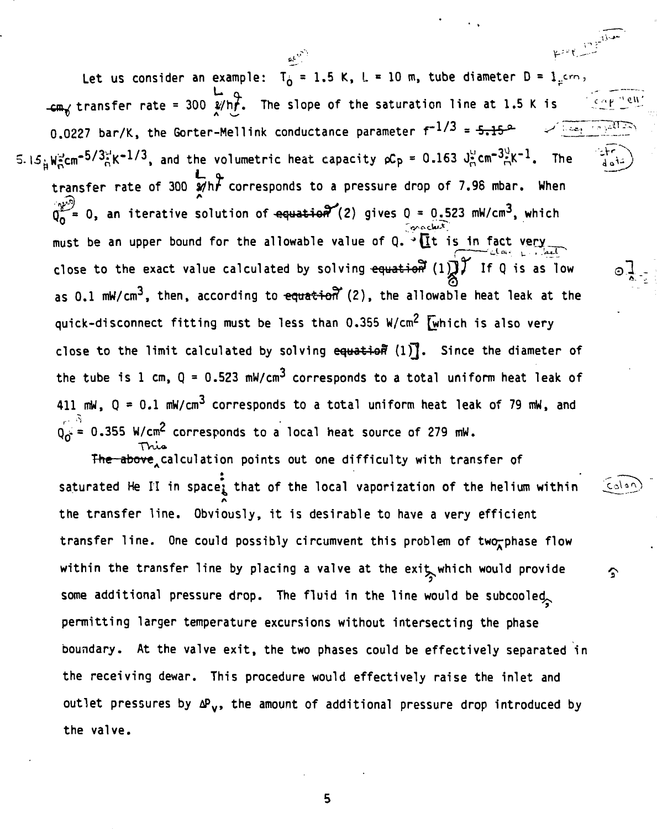Let us consider an example:  $T^{\perp}_{0} = 1.5$  K, L = 10 m, tube diameter D =  $1$ <sub>1</sub>cm,  $\epsilon$ m<sub>x</sub> transfer rate = 300  $\frac{1}{2}$ /h<sub>r</sub>. The slope of the saturation line at 1.5 K is  $0.0227$  bar/K, the Gorter-Mellink conductance parameter  $f^{-1/3}$  = 5.15  $^{\circ}$  . And in in i 5.15. We cm<sup>-5/3</sup> k<sup>-1/3</sup>, and the volumetric heat capacity pCp = 0.163 J cm<sup>-3</sup> K<sup>-1</sup>. The and **L a.** transfer rate of 300  $\not$ h $\digamma$  corresponds to a pressure drop of 7.98 mbar. When 0, an iterative solution of  $\texttt{equation}'(2)$  gives 0 = 0.523 mW/cm $^3$ , which must be an upper bound for the allowable value of Q.  $\cdot \prod \limits_{i=1}^{\infty}$  is in fact very close to the exact value calculated by solving equation (1) If Q is as low as 0.1 mW/cm<sup>3</sup>, then, according to <del>equation</del> (2), the allowable heat leak at the quick-disconnect fitting must be less than 0.355 W/cm<sup>2</sup> [which is also very close to the limit calculated by solving equation (1). Since the diameter of the tube is 1 cm, Q = 0.523 mW/cm<sup>3</sup> corresponds to a total uniform heat leak of 411 mW,  $Q = 0.1$  mW/cm<sup>3</sup> corresponds to a total uniform heat leak of 79 mW, and  $Q_0^{\sqrt{2}}$  0.355 W/cm<sup>2</sup> corresponds to a local heat source of 279 mW.

The above calculation points out one difficulty with transfer of • • • saturated He II in space, that of the local vaporization of the helium within  $\epsilon_0$ the transfer line. Obviously, it is desirable to have a very efficient transfer line. One could possibly circumvent this problem of two-phase flow within the transfer line by placing a valve at the exit which would provide  $\mathcal{S}$ some additional pressure drop. The fluid in the line would be subcooled permitting larger temperature excursions without intersecting the phase boundary. At the valve exit, the two phases could be effectively separated in the receiving dewar. This procedure would effectively raise the inlet and outlet pressures by  $\Delta P_{\nu}$ , the amount of additional pressure drop introduced by the valve.

5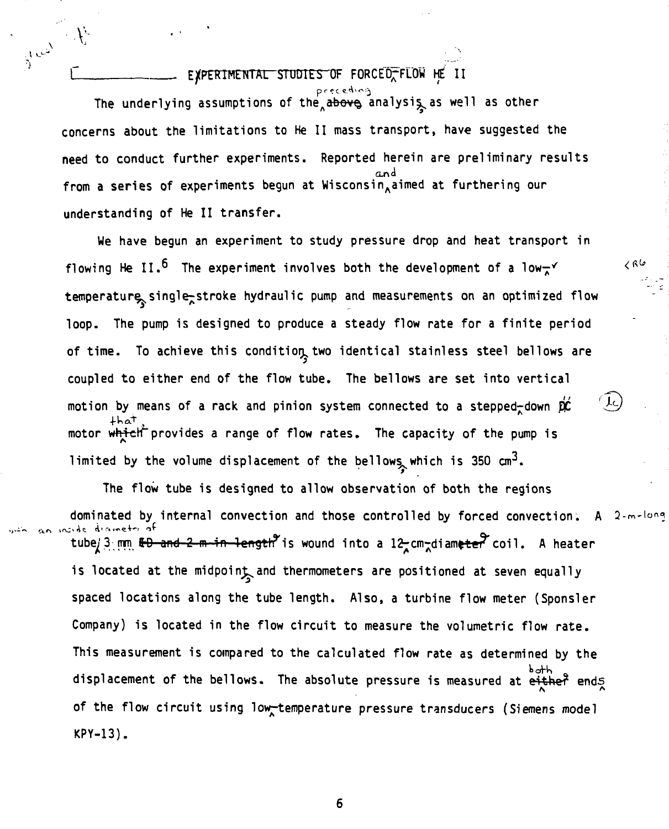# EXPERIMENTAL STUDIES OF FORCED<sub>T</sub>FLOW HE II

**V , t o--**

**\:**

**The underlying assumptions of the**<sub>A</sub> $\overline{a}$ **bove** analysis as well as other **concerns about the limitations to He II mass transport, have suggested the need to conduct further experiments. Reported herein are preliminary results from a series of experiments begun at WisconsinAaimed at furthering our understanding of He II transfer.**

**We have begun an experiment to study pressure drop and heat transport in** flowing He II.<sup>5</sup> The experiment involves both the development of a low- $\checkmark$ **temperature^single^stroke hydraulic pump and measurements on an optimized flow loop. The pump is designed to produce a steady flow rate for a finite period** of time. To achieve this condition two identical stainless steel bellows are **coupled to either end of the flow tube. The bellows are set into vertical** motion by means of a rack and pinion system connected to a stepped-down  $p\hat{c}$ motor which provides a range of flow rates. The capacity of the pump is limited by the volume displacement of the bellows which is 350 cm<sup>3</sup>.

 $< 0$ 

Jς

**The flow tube is designed to allow observation of both the regions dominated by internal convection and those controlled by forced convection. A** tube/3 mm <del>&D and 2 m in length</del><sup>9</sup> is wound into a 12-cm-diameter coil. A heater **A""\*\*\* \* \* \*^** is located at the midpoint and thermometers are positioned at seven equally spaced locations along the tube length. Also, a turbine flow meter (Sponsler Company) is located in the flow circuit to measure the volumetric flow rate. This measurement is compared to the calculated flow rate as determined by the displacement of the bellows. The absolute pressure is measured at either ends of the flow circuit using low-temperature pressure transducers (Siemens model KPY-13).

6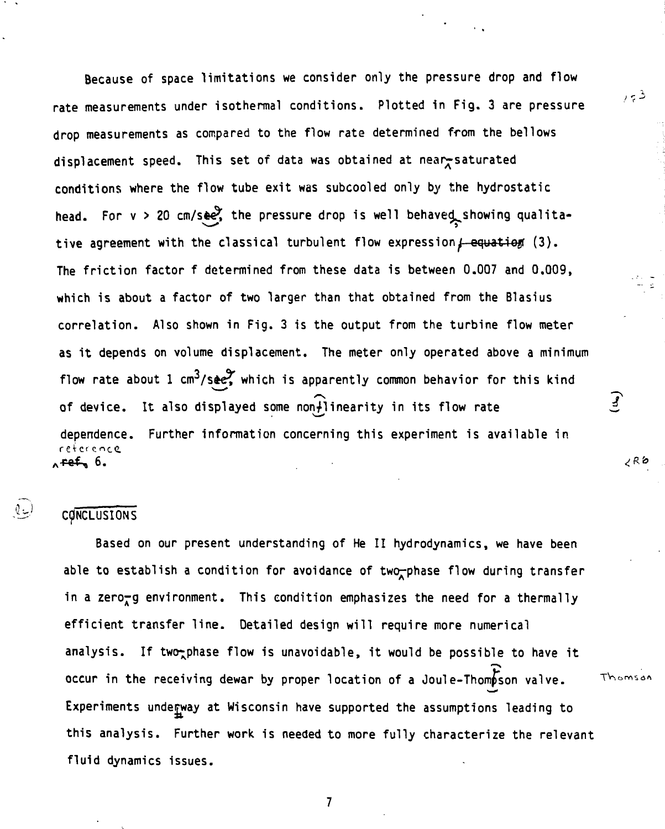Because of space limitations we consider only the pressure drop and flow rate measurements under isothermal conditions. Plotted in Fig. 3 are pressure drop measurements as compared to the flow rate determined from the bellows displacement speed. This set of data was obtained at near saturated conditions where the flow tube exit was subcooled only by the hydrostatic head. For  $v > 20$  cm/see, the pressure drop is well behaved showing qualitative agreement with the classical turbulent flow expression  $f$ -equatiog (3). The friction factor f determined from these data is between 0.007 and 0.009, which is about a factor of two larger than that obtained from the Blasius correlation. Also shown in Fig. 3 is the output from the turbine flow meter as it depends on volume displacement. The meter only operated above a minimum flow rate about 1 cm<sup>3</sup>/see $\tilde{Y}$  which is apparently common behavior for this kind of device. It also displayed some non-linearity in its flow rate dependence. Further information concerning this experiment is available in reference, .<del>ref</del> 6.

 $7 - 3$ 

 $\mathcal{L}$ 

¿R6

Thomson

## **CONCLUSIONS**

 $\mathbb{Q}_{\tau,\mathbb{R}}$ 

Based on our present understanding of He II hydrodynamics, we have been able to establish a condition for avoidance of two-phase flow during transfer in a zero-g environment. This condition emphasizes the need for a thermally efficient transfer line. Detailed design will require more numerical analysis. If two<sub>r</sub>phase flow is unavoidable, it would be possible to have it occur in the receiving dewar by proper location of a Joule-Thompson valve. Experiments underway at Wisconsin have supported the assumptions leading to this analysis. Further work is needed to more fully characterize the relevant fluid dynamics issues.

 $\overline{\mathbf{z}}$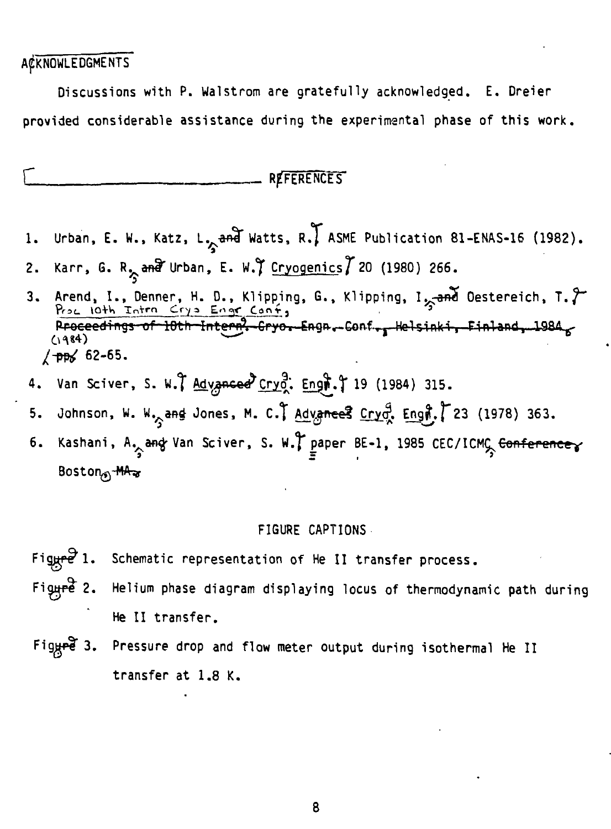## **ACKNOWLEDGMENTS**

Discussions with P. Walstrom are gratefully acknowledged. E. Dreier provided considerable assistance during the experimental phase of this work.

### REFERENCES

- Urban, E. W., Katz, L<sub>2</sub>and Watts, R., ASME Publication 81-ENAS-16 (1982). 1.
- Karr, G. R<sub> $x_i$ </sub> and Urban, E. W.) Cryogenics 7 20 (1980) 266.  $2.$
- Arend, I., Denner, H. D., Klipping, G., Klipping, I<sub>25</sub>and Oestereich, T. 7 3. Proceedings of 10th Intern. Cryo. Engn. Conf., Helsinki, Finland, 1984  $(1984)$  $/$  pps 62-65.
- Van Sciver, S. W. Advanced Cryot. Engt. 19 (1984) 315. 4.
- Johnson, W. W<sub>og</sub>and Jones, M. C., Advances Cryo, Engi, 23 (1978) 363. 5.
- Kashani, A<sub>2</sub> ang Van Sciver, S. W., paper BE-1, 1985 CEC/ICMC <del>Conference</del> б. Boston<sub>s</sub> MA<sub>3</sub>

#### FIGURE CAPTIONS

- Figure  $1.$ Schematic representation of He II transfer process.
- $Figure 2.$ Helium phase diagram displaying locus of thermodynamic path during He II transfer.
- Figyre  $3.$ Pressure drop and flow meter output during isothermal He II transfer at 1.8 K.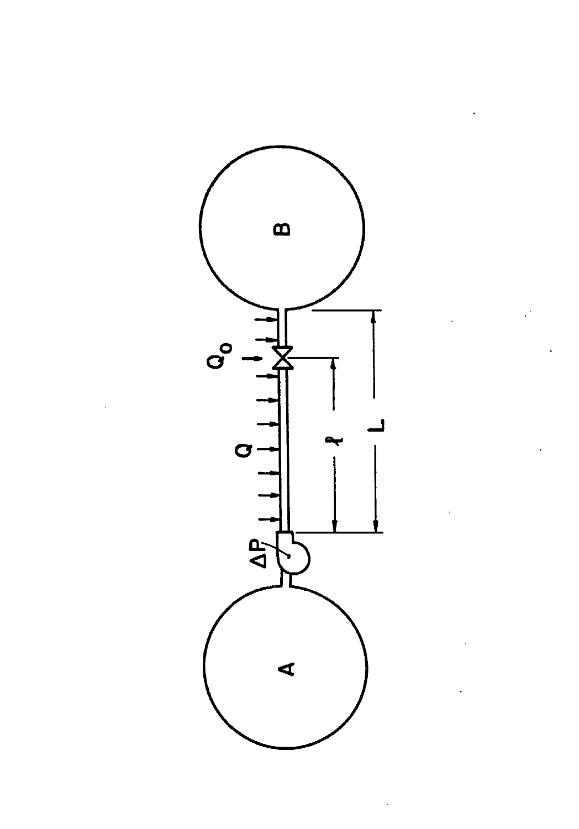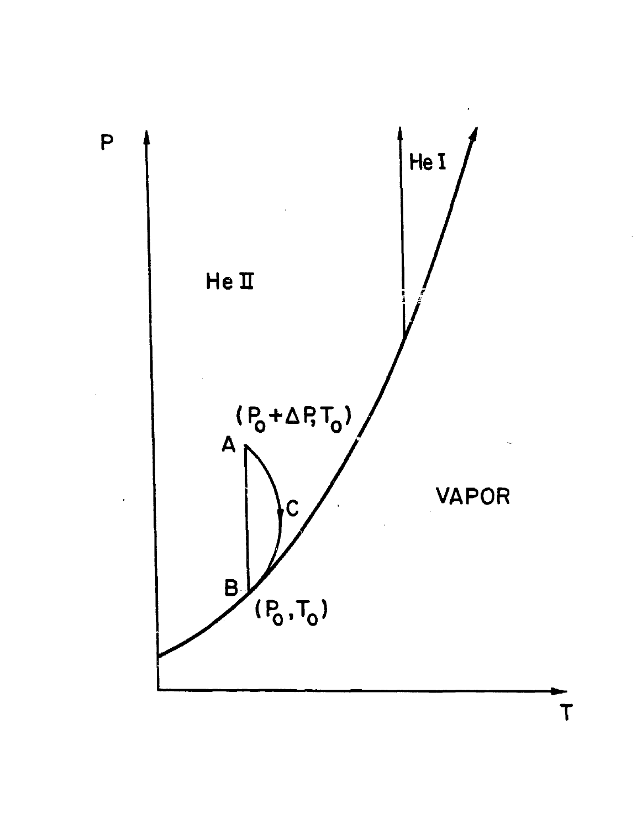